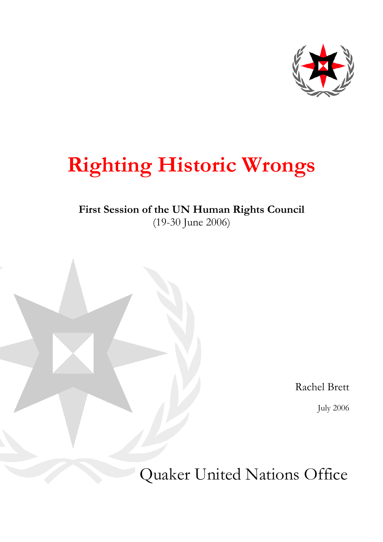

# **Righting Historic Wrongs**

## **First Session of the UN Human Rights Council**  (19-30 June 2006)

Rachel Brett

July 2006

Quaker United Nations Office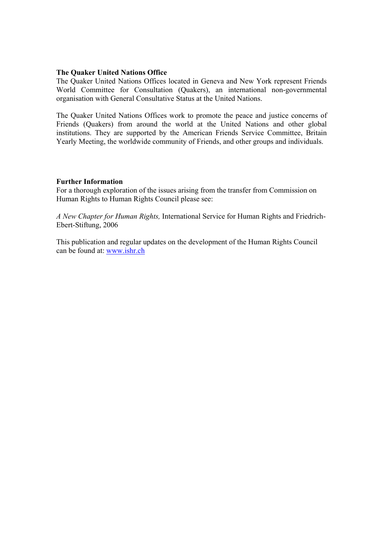#### **The Quaker United Nations Office**

The Quaker United Nations Offices located in Geneva and New York represent Friends World Committee for Consultation (Quakers), an international non-governmental organisation with General Consultative Status at the United Nations.

The Quaker United Nations Offices work to promote the peace and justice concerns of Friends (Quakers) from around the world at the United Nations and other global institutions. They are supported by the American Friends Service Committee, Britain Yearly Meeting, the worldwide community of Friends, and other groups and individuals.

#### **Further Information**

For a thorough exploration of the issues arising from the transfer from Commission on Human Rights to Human Rights Council please see:

*A New Chapter for Human Rights,* International Service for Human Rights and Friedrich-Ebert-Stiftung, 2006

This publication and regular updates on the development of the Human Rights Council can be found at: www.ishr.ch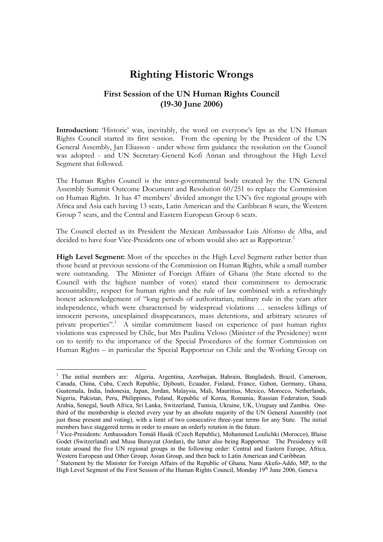### **Righting Historic Wrongs**

#### **First Session of the UN Human Rights Council (19-30 June 2006)**

**Introduction:** 'Historic' was, inevitably, the word on everyone's lips as the UN Human Rights Council started its first session. From the opening by the President of the UN General Assembly, Jan Eliasson - under whose firm guidance the resolution on the Council was adopted - and UN Secretary-General Kofi Annan and throughout the High Level Segment that followed.

The Human Rights Council is the inter-governmental body created by the UN General Assembly Summit Outcome Document and Resolution 60/251 to replace the Commission on Human Rights. It has 47 members<sup>1</sup> divided amongst the UN's five regional groups with Africa and Asia each having 13 seats, Latin American and the Caribbean 8 seats, the Western Group 7 seats, and the Central and Eastern European Group 6 seats.

The Council elected as its President the Mexican Ambassador Luis Alfonso de Alba, and decided to have four Vice-Presidents one of whom would also act as Rapporteur.<sup>2</sup>

**High Level Segment:** Most of the speeches in the High Level Segment rather better than those heard at previous sessions of the Commission on Human Rights, while a small number were outstanding. The Minister of Foreign Affairs of Ghana (the State elected to the Council with the highest number of votes) stated their commitment to democratic accountability, respect for human rights and the rule of law combined with a refreshingly honest acknowledgement of "long periods of authoritarian, military rule in the years after independence, which were characterised by widespread violations … senseless killings of innocent persons, unexplained disappearances, mass detentions, and arbitrary seizures of private properties".<sup>3</sup> A similar commitment based on experience of past human rights violations was expressed by Chile, but Mrs Paulina Veloso (Minister of the Presidency) went on to testify to the importance of the Special Procedures of the former Commission on Human Rights – in particular the Special Rapporteur on Chile and the Working Group on

<sup>&</sup>lt;sup>1</sup> The initial members are: Algeria, Argentina, Azerbaijan, Bahrain, Bangladesh, Brazil, Cameroon, Canada, China, Cuba, Czech Republic, Djibouti, Ecuador, Finland, France, Gabon, Germany, Ghana, Guatemala, India, Indonesia, Japan, Jordan, Malaysia, Mali, Mauritius, Mexico, Morocco, Netherlands, Nigeria, Pakistan, Peru, Philippines, Poland, Republic of Korea, Romania, Russian Federation, Saudi Arabia, Senegal, South Africa, Sri Lanka, Switzerland, Tunisia, Ukraine, UK, Uruguay and Zambia. Onethird of the membership is elected every year by an absolute majority of the UN General Assembly (not just those present and voting), with a limit of two consecutive three-year terms for any State. The initial members have staggered terms in order to ensure an orderly rotation in the future.

<sup>&</sup>lt;sup>2</sup> Vice-Presidents: Ambassadors Tomáš Husák (Czech Republic), Mohammed Loulichki (Morocco), Blaise Godet (Switzerland) and Musa Burayzat (Jordan), the latter also being Rapporteur. The Presidency will rotate around the five UN regional groups in the following order: Central and Eastern Europe, Africa, Western European and Other Group, Asian Group, and then back to Latin American and Caribbean.

<sup>&</sup>lt;sup>3</sup> Statement by the Minister for Foreign Affairs of the Republic of Ghana, Nana Akufo-Addo, MP, to the High Level Segment of the First Session of the Human Rights Council, Monday 19th June 2006, Geneva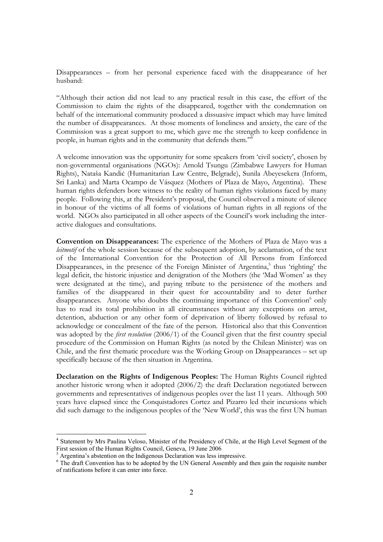Disappearances – from her personal experience faced with the disappearance of her husband:

"Although their action did not lead to any practical result in this case, the effort of the Commission to claim the rights of the disappeared, together with the condemnation on behalf of the international community produced a dissuasive impact which may have limited the number of disappearances. At those moments of loneliness and anxiety, the care of the Commission was a great support to me, which gave me the strength to keep confidence in people, in human rights and in the community that defends them."4

A welcome innovation was the opportunity for some speakers from 'civil society', chosen by non-governmental organisations (NGOs): Arnold Tsungu (Zimbabwe Lawyers for Human Rights), Nataša Kandiċ (Humanitarian Law Centre, Belgrade), Sunila Abeyesekera (Inform, Sri Lanka) and Marta Ocampo de Vásquez (Mothers of Plaza de Mayo, Argentina). These human rights defenders bore witness to the reality of human rights violations faced by many people. Following this, at the President's proposal, the Council observed a minute of silence in honour of the victims of all forms of violations of human rights in all regions of the world. NGOs also participated in all other aspects of the Council's work including the interactive dialogues and consultations.

**Convention on Disappearances:** The experience of the Mothers of Plaza de Mayo was a *leitmotif* of the whole session because of the subsequent adoption, by acclamation, of the text of the International Convention for the Protection of All Persons from Enforced Disappearances, in the presence of the Foreign Minister of Argentina,<sup>5</sup> thus 'righting' the legal deficit, the historic injustice and denigration of the Mothers (the 'Mad Women' as they were designated at the time), and paying tribute to the persistence of the mothers and families of the disappeared in their quest for accountability and to deter further disappearances. Anyone who doubts the continuing importance of this Convention<sup>6</sup> only has to read its total prohibition in all circumstances without any exceptions on arrest, detention, abduction or any other form of deprivation of liberty followed by refusal to acknowledge or concealment of the fate of the person. Historical also that this Convention was adopted by the *first resolution* (2006/1) of the Council given that the first country special procedure of the Commission on Human Rights (as noted by the Chilean Minister) was on Chile, and the first thematic procedure was the Working Group on Disappearances – set up specifically because of the then situation in Argentina.

**Declaration on the Rights of Indigenous Peoples:** The Human Rights Council righted another historic wrong when it adopted (2006/2) the draft Declaration negotiated between governments and representatives of indigenous peoples over the last 11 years. Although 500 years have elapsed since the Conquistadores Cortez and Pizarro led their incursions which did such damage to the indigenous peoples of the 'New World', this was the first UN human

<sup>&</sup>lt;sup>4</sup> Statement by Mrs Paulina Veloso, Minister of the Presidency of Chile, at the High Level Segment of the First session of the Human Rights Council, Geneva, 19 June 2006

<sup>5</sup> Argentina's abstention on the Indigenous Declaration was less impressive.

<sup>&</sup>lt;sup>6</sup> The draft Convention has to be adopted by the UN General Assembly and then gain the requisite number of ratifications before it can enter into force.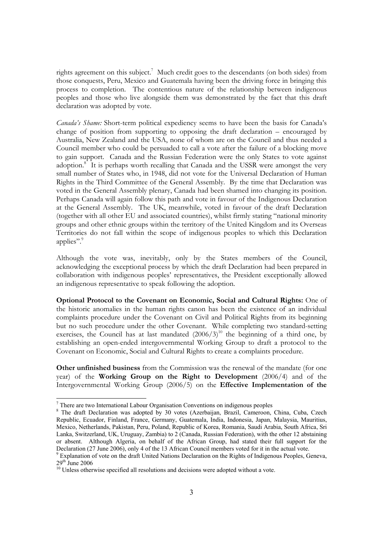rights agreement on this subject.<sup>7</sup> Much credit goes to the descendants (on both sides) from those conquests, Peru, Mexico and Guatemala having been the driving force in bringing this process to completion. The contentious nature of the relationship between indigenous peoples and those who live alongside them was demonstrated by the fact that this draft declaration was adopted by vote.

*Canada's Shame:* Short-term political expediency seems to have been the basis for Canada's change of position from supporting to opposing the draft declaration – encouraged by Australia, New Zealand and the USA, none of whom are on the Council and thus needed a Council member who could be persuaded to call a vote after the failure of a blocking move to gain support. Canada and the Russian Federation were the only States to vote against adoption.<sup>8</sup> It is perhaps worth recalling that Canada and the USSR were amongst the very small number of States who, in 1948, did not vote for the Universal Declaration of Human Rights in the Third Committee of the General Assembly. By the time that Declaration was voted in the General Assembly plenary, Canada had been shamed into changing its position. Perhaps Canada will again follow this path and vote in favour of the Indigenous Declaration at the General Assembly. The UK, meanwhile, voted in favour of the draft Declaration (together with all other EU and associated countries), whilst firmly stating "national minority groups and other ethnic groups within the territory of the United Kingdom and its Overseas Territories do not fall within the scope of indigenous peoples to which this Declaration applies".<sup>9</sup>

Although the vote was, inevitably, only by the States members of the Council, acknowledging the exceptional process by which the draft Declaration had been prepared in collaboration with indigenous peoples' representatives, the President exceptionally allowed an indigenous representative to speak following the adoption.

**Optional Protocol to the Covenant on Economic, Social and Cultural Rights:** One of the historic anomalies in the human rights canon has been the existence of an individual complaints procedure under the Covenant on Civil and Political Rights from its beginning but no such procedure under the other Covenant. While completing two standard-setting exercises, the Council has at last mandated  $(2006/3)^{10}$  the beginning of a third one, by establishing an open-ended intergovernmental Working Group to draft a protocol to the Covenant on Economic, Social and Cultural Rights to create a complaints procedure.

**Other unfinished business** from the Commission was the renewal of the mandate (for one year) of the **Working Group on the Right to Development** (2006/4) and of the Intergovernmental Working Group (2006/5) on the **Effective Implementation of the** 

 7 There are two International Labour Organisation Conventions on indigenous peoples

<sup>&</sup>lt;sup>8</sup> The draft Declaration was adopted by 30 votes (Azerbaijan, Brazil, Cameroon, China, Cuba, Czech Republic, Ecuador, Finland, France, Germany, Guatemala, India, Indonesia, Japan, Malaysia, Mauritius, Mexico, Netherlands, Pakistan, Peru, Poland, Republic of Korea, Romania, Saudi Arabia, South Africa, Sri Lanka, Switzerland, UK, Uruguay, Zambia) to 2 (Canada, Russian Federation), with the other 12 abstaining or absent. Although Algeria, on behalf of the African Group, had stated their full support for the Declaration (27 June 2006), only 4 of the 13 African Council members voted for it in the actual vote.

<sup>&</sup>lt;sup>9</sup> Explanation of vote on the draft United Nations Declaration on the Rights of Indigenous Peoples, Geneva,  $29<sup>th</sup>$  June 2006 <sup>10</sup> Unless otherwise specified all resolutions and decisions were adopted without a vote.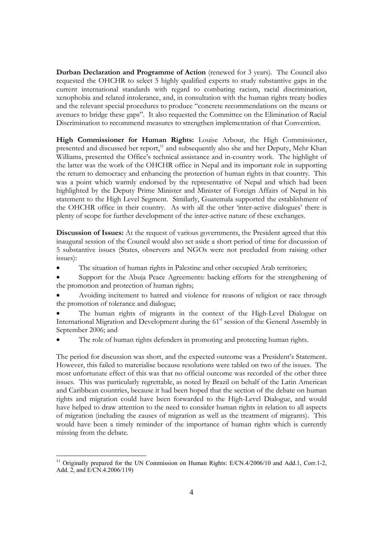**Durban Declaration and Programme of Action** (renewed for 3 years). The Council also requested the OHCHR to select 5 highly qualified experts to study substantive gaps in the current international standards with regard to combating racism, racial discrimination, xenophobia and related intolerance, and, in consultation with the human rights treaty bodies and the relevant special procedures to produce "concrete recommendations on the means or avenues to bridge these gaps". It also requested the Committee on the Elimination of Racial Discrimination to recommend measures to strengthen implementation of that Convention.

**High Commissioner for Human Rights:** Louise Arbour, the High Commissioner, presented and discussed her report,<sup>11</sup> and subsequently also she and her Deputy, Mehr Khan Williams, presented the Office's technical assistance and in-country work. The highlight of the latter was the work of the OHCHR office in Nepal and its important role in supporting the return to democracy and enhancing the protection of human rights in that country. This was a point which warmly endorsed by the representative of Nepal and which had been highlighted by the Deputy Prime Minister and Minister of Foreign Affairs of Nepal in his statement to the High Level Segment. Similarly, Guatemala supported the establishment of the OHCHR office in their country. As with all the other 'inter-active dialogues' there is plenty of scope for further development of the inter-active nature of these exchanges.

**Discussion of Issues:** At the request of various governments, the President agreed that this inaugural session of the Council would also set aside a short period of time for discussion of 5 substantive issues (States, observers and NGOs were not precluded from raising other issues):

- The situation of human rights in Palestine and other occupied Arab territories;
- Support for the Abuja Peace Agreements: backing efforts for the strengthening of the promotion and protection of human rights;
- Avoiding incitement to hatred and violence for reasons of religion or race through the promotion of tolerance and dialogue;
- The human rights of migrants in the context of the High-Level Dialogue on International Migration and Development during the 61<sup>st</sup> session of the General Assembly in September 2006; and
- The role of human rights defenders in promoting and protecting human rights.

The period for discussion was short, and the expected outcome was a President's Statement. However, this failed to materialise because resolutions were tabled on two of the issues. The most unfortunate effect of this was that no official outcome was recorded of the other three issues. This was particularly regrettable, as noted by Brazil on behalf of the Latin American and Caribbean countries, because it had been hoped that the section of the debate on human rights and migration could have been forwarded to the High-Level Dialogue, and would have helped to draw attention to the need to consider human rights in relation to all aspects of migration (including the causes of migration as well as the treatment of migrants). This would have been a timely reminder of the importance of human rights which is currently missing from the debate.

<sup>&</sup>lt;sup>11</sup> Originally prepared for the UN Commission on Human Rights: E/CN.4/2006/10 and Add.1, Corr.1-2, Add. 2, and E/CN.4.2006/119)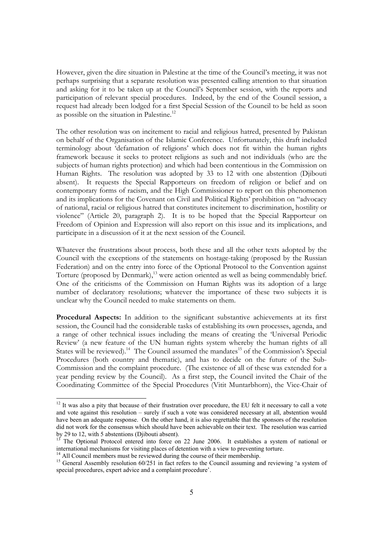However, given the dire situation in Palestine at the time of the Council's meeting, it was not perhaps surprising that a separate resolution was presented calling attention to that situation and asking for it to be taken up at the Council's September session, with the reports and participation of relevant special procedures. Indeed, by the end of the Council session, a request had already been lodged for a first Special Session of the Council to be held as soon as possible on the situation in Palestine.<sup>12</sup>

The other resolution was on incitement to racial and religious hatred, presented by Pakistan on behalf of the Organisation of the Islamic Conference. Unfortunately, this draft included terminology about 'defamation of religions' which does not fit within the human rights framework because it seeks to protect religions as such and not individuals (who are the subjects of human rights protection) and which had been contentious in the Commission on Human Rights. The resolution was adopted by 33 to 12 with one abstention (Djibouti absent). It requests the Special Rapporteurs on freedom of religion or belief and on contemporary forms of racism, and the High Commissioner to report on this phenomenon and its implications for the Covenant on Civil and Political Rights' prohibition on "advocacy of national, racial or religious hatred that constitutes incitement to discrimination, hostility or violence" (Article 20, paragraph 2). It is to be hoped that the Special Rapporteur on Freedom of Opinion and Expression will also report on this issue and its implications, and participate in a discussion of it at the next session of the Council.

Whatever the frustrations about process, both these and all the other texts adopted by the Council with the exceptions of the statements on hostage-taking (proposed by the Russian Federation) and on the entry into force of the Optional Protocol to the Convention against Torture (proposed by Denmark),<sup>13</sup> were action oriented as well as being commendably brief. One of the criticisms of the Commission on Human Rights was its adoption of a large number of declaratory resolutions; whatever the importance of these two subjects it is unclear why the Council needed to make statements on them.

**Procedural Aspects:** In addition to the significant substantive achievements at its first session, the Council had the considerable tasks of establishing its own processes, agenda, and a range of other technical issues including the means of creating the 'Universal Periodic Review' (a new feature of the UN human rights system whereby the human rights of all States will be reviewed).<sup>14</sup> The Council assumed the mandates<sup>15</sup> of the Commission's Special Procedures (both country and thematic), and has to decide on the future of the Sub-Commission and the complaint procedure. (The existence of all of these was extended for a year pending review by the Council). As a first step, the Council invited the Chair of the Coordinating Committee of the Special Procedures (Vitit Muntarbhorn), the Vice-Chair of

 $12$  It was also a pity that because of their frustration over procedure, the EU felt it necessary to call a vote and vote against this resolution – surely if such a vote was considered necessary at all, abstention would have been an adequate response. On the other hand, it is also regrettable that the sponsors of the resolution did not work for the consensus which should have been achievable on their text. The resolution was carried by 29 to 12, with 5 abstentions (Djibouti absent).

The Optional Protocol entered into force on 22 June 2006. It establishes a system of national or international mechanisms for visiting places of detention with a view to preventing torture.

 $14$  All Council members must be reviewed during the course of their membership.

<sup>&</sup>lt;sup>15</sup> General Assembly resolution 60/251 in fact refers to the Council assuming and reviewing 'a system of special procedures, expert advice and a complaint procedure'.